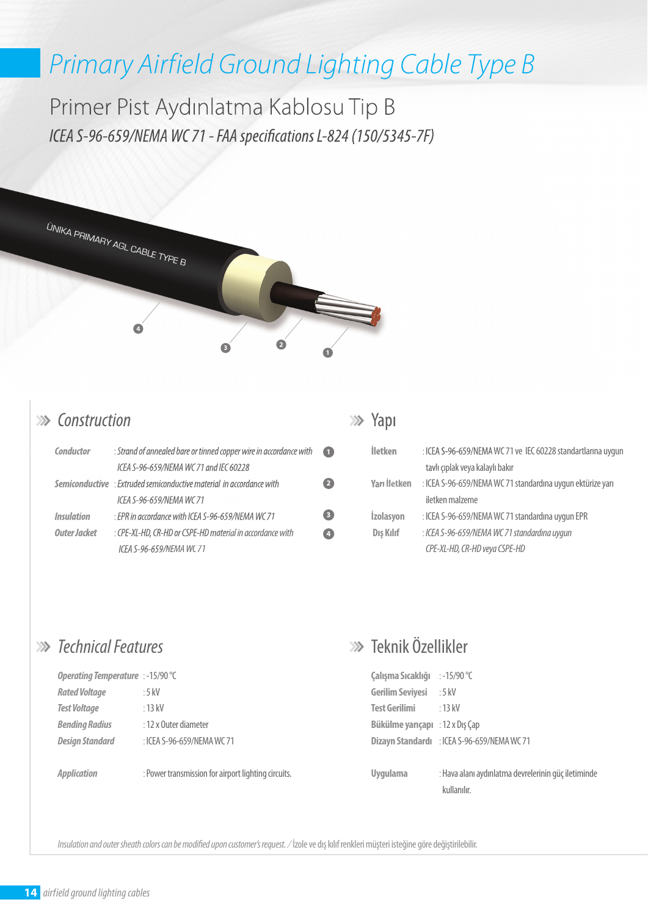# *Primary Airfield Ground Lighting Cable Type B*

Primer Pist Aydınlatma Kablosu Tip B *ICEA S-96-659/NEMA WC 71 - FAA specifications L-824 (150/5345-7F)* 



#### *Construction*

| Conductor         | : Strand of annealed bare or tinned copper wire in accordance with          | O               |
|-------------------|-----------------------------------------------------------------------------|-----------------|
|                   | ICEA S-96-659/NEMA WC 71 and IEC 60228                                      |                 |
|                   | <b>Semiconductive</b> : Extruded semiconductive material in accordance with |                 |
|                   | ICEA S-96-659/NEMA WC 71                                                    |                 |
| <b>Insulation</b> | : EPR in accordance with ICEA S-96-659/NEMA WC 71                           | $\bullet$       |
| Outer Jacket      | : CPE-XL-HD, CR-HD or CSPE-HD material in accordance with                   | $\vert A \vert$ |
|                   | ICEA S-96-659/NEMA WC 71                                                    |                 |

#### **>>>** Yapı

| <b>İletken</b>   | : ICEA S-96-659/NEMA WC 71 ve IEC 60228 standartlarına uygun |  |  |  |  |
|------------------|--------------------------------------------------------------|--|--|--|--|
|                  | tavlı çıplak veya kalaylı bakır                              |  |  |  |  |
| Yarı İletken     | : ICEA S-96-659/NEMA WC 71 standardına uygun ektürize yarı   |  |  |  |  |
|                  | iletken malzeme                                              |  |  |  |  |
| <b>İzolasyon</b> | : ICEA S-96-659/NEMA WC 71 standardına uygun EPR             |  |  |  |  |
| Dış Kılıf        | : ICEA S-96-659/NEMA WC 71 standardına uygun                 |  |  |  |  |
|                  | CPE-XL-HD, CR-HD veya CSPE-HD                                |  |  |  |  |

#### *Technical Features*

| <b>Operating Temperature</b> : -15/90 °C |                            |  |  |  |  |
|------------------------------------------|----------------------------|--|--|--|--|
| <b>Rated Voltage</b>                     | : 5 kV                     |  |  |  |  |
| <b>Test Voltage</b>                      | $\cdot$ 13 kV              |  |  |  |  |
| <b>Bending Radius</b>                    | : 12 x Outer diameter      |  |  |  |  |
| <b>Design Standard</b>                   | : ICEA S-96-659/NEMA WC 71 |  |  |  |  |

: Power transmission for airport lighting circuits. *Application* 

### Teknik Özellikler

| Çalışma Sıcaklığı : -15/90 °C |                                             |  |  |  |  |
|-------------------------------|---------------------------------------------|--|--|--|--|
| <b>Gerilim Seviyesi</b>       | $:5$ kV                                     |  |  |  |  |
| <b>Test Gerilimi</b>          | $\cdot$ 13 kV                               |  |  |  |  |
| Bükülme yarıçapı              | : $12 \times$ Dış Çap                       |  |  |  |  |
|                               | Dizayn Standardı : ICEA S-96-659/NEMA WC 71 |  |  |  |  |
|                               |                                             |  |  |  |  |

: Hava alanı aydınlatma devrelerinin güç iletiminde kullanılır. **Uygulama** 

*Insulation and outer sheath colors can be modi ed upon customer's request. /* İzole ve dış kılıf renkleri müşteri isteğine göre değiştirilebilir.